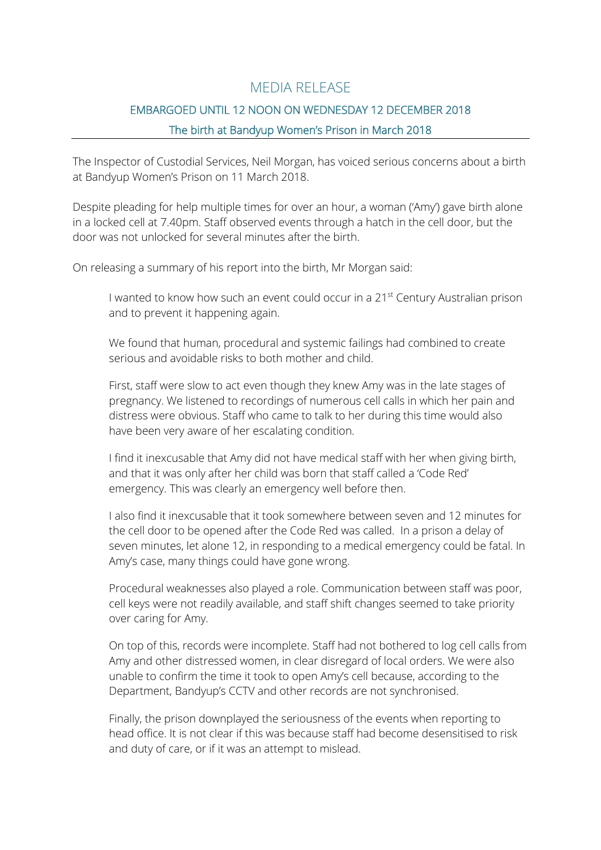## MEDIA RELEASE

# EMBARGOED UNTIL 12 NOON ON WEDNESDAY 12 DECEMBER 2018 The birth at Bandyup Women's Prison in March 2018

The Inspector of Custodial Services, Neil Morgan, has voiced serious concerns about a birth at Bandyup Women's Prison on 11 March 2018.

Despite pleading for help multiple times for over an hour, a woman ('Amy') gave birth alone in a locked cell at 7.40pm. Staff observed events through a hatch in the cell door, but the door was not unlocked for several minutes after the birth.

On releasing a summary of his report into the birth, Mr Morgan said:

I wanted to know how such an event could occur in a 21<sup>st</sup> Century Australian prison and to prevent it happening again.

We found that human, procedural and systemic failings had combined to create serious and avoidable risks to both mother and child.

First, staff were slow to act even though they knew Amy was in the late stages of pregnancy. We listened to recordings of numerous cell calls in which her pain and distress were obvious. Staff who came to talk to her during this time would also have been very aware of her escalating condition.

I find it inexcusable that Amy did not have medical staff with her when giving birth, and that it was only after her child was born that staff called a 'Code Red' emergency. This was clearly an emergency well before then.

I also find it inexcusable that it took somewhere between seven and 12 minutes for the cell door to be opened after the Code Red was called. In a prison a delay of seven minutes, let alone 12, in responding to a medical emergency could be fatal. In Amy's case, many things could have gone wrong.

Procedural weaknesses also played a role. Communication between staff was poor, cell keys were not readily available, and staff shift changes seemed to take priority over caring for Amy.

On top of this, records were incomplete. Staff had not bothered to log cell calls from Amy and other distressed women, in clear disregard of local orders. We were also unable to confirm the time it took to open Amy's cell because, according to the Department, Bandyup's CCTV and other records are not synchronised.

Finally, the prison downplayed the seriousness of the events when reporting to head office. It is not clear if this was because staff had become desensitised to risk and duty of care, or if it was an attempt to mislead.